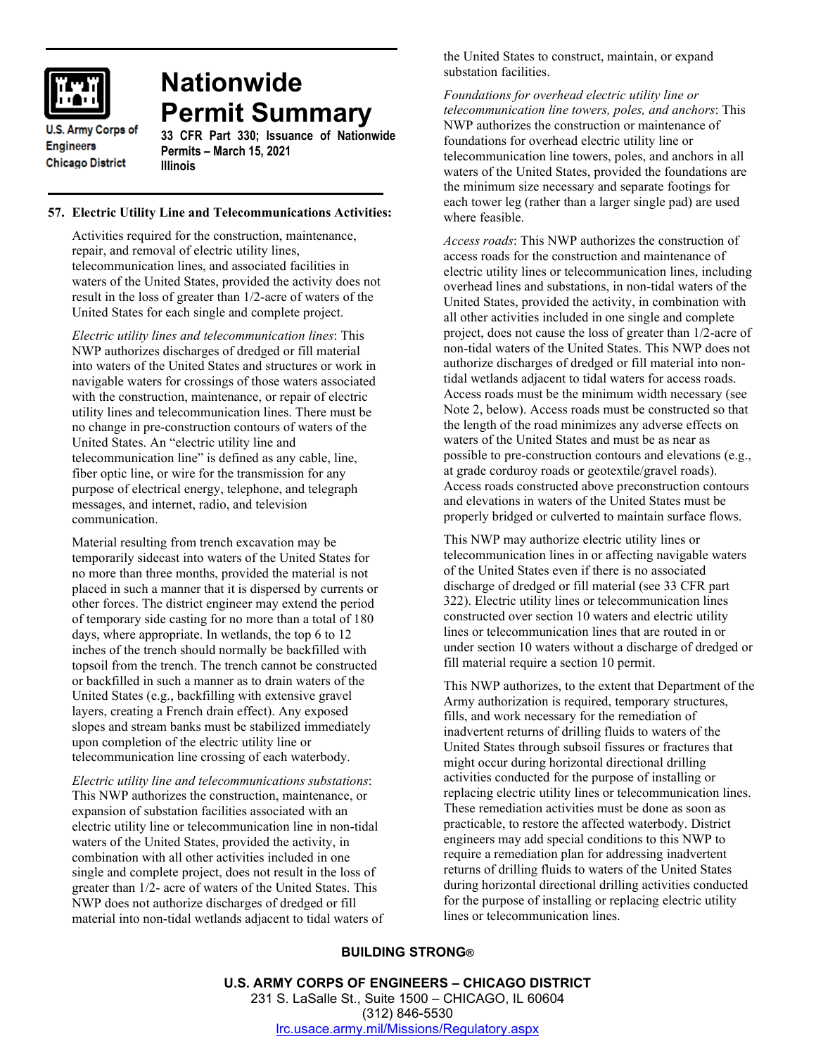

# **Nationwide Permit Summary**

**U.S. Army Corps of Engineers Chicago District** 

**33 CFR Part 330; Issuance of Nationwide Permits – March 15, 2021 Illinois**

## **57. Electric Utility Line and Telecommunications Activities:**

Activities required for the construction, maintenance, repair, and removal of electric utility lines, telecommunication lines, and associated facilities in waters of the United States, provided the activity does not result in the loss of greater than 1/2-acre of waters of the United States for each single and complete project.

*Electric utility lines and telecommunication lines*: This NWP authorizes discharges of dredged or fill material into waters of the United States and structures or work in navigable waters for crossings of those waters associated with the construction, maintenance, or repair of electric utility lines and telecommunication lines. There must be no change in pre-construction contours of waters of the United States. An "electric utility line and telecommunication line" is defined as any cable, line, fiber optic line, or wire for the transmission for any purpose of electrical energy, telephone, and telegraph messages, and internet, radio, and television communication.

Material resulting from trench excavation may be temporarily sidecast into waters of the United States for no more than three months, provided the material is not placed in such a manner that it is dispersed by currents or other forces. The district engineer may extend the period of temporary side casting for no more than a total of 180 days, where appropriate. In wetlands, the top 6 to 12 inches of the trench should normally be backfilled with topsoil from the trench. The trench cannot be constructed or backfilled in such a manner as to drain waters of the United States (e.g., backfilling with extensive gravel layers, creating a French drain effect). Any exposed slopes and stream banks must be stabilized immediately upon completion of the electric utility line or telecommunication line crossing of each waterbody.

*Electric utility line and telecommunications substations*: This NWP authorizes the construction, maintenance, or expansion of substation facilities associated with an electric utility line or telecommunication line in non-tidal waters of the United States, provided the activity, in combination with all other activities included in one single and complete project, does not result in the loss of greater than 1/2- acre of waters of the United States. This NWP does not authorize discharges of dredged or fill material into non-tidal wetlands adjacent to tidal waters of the United States to construct, maintain, or expand substation facilities.

*Foundations for overhead electric utility line or telecommunication line towers, poles, and anchors*: This NWP authorizes the construction or maintenance of foundations for overhead electric utility line or telecommunication line towers, poles, and anchors in all waters of the United States, provided the foundations are the minimum size necessary and separate footings for each tower leg (rather than a larger single pad) are used where feasible.

*Access roads*: This NWP authorizes the construction of access roads for the construction and maintenance of electric utility lines or telecommunication lines, including overhead lines and substations, in non-tidal waters of the United States, provided the activity, in combination with all other activities included in one single and complete project, does not cause the loss of greater than 1/2-acre of non-tidal waters of the United States. This NWP does not authorize discharges of dredged or fill material into nontidal wetlands adjacent to tidal waters for access roads. Access roads must be the minimum width necessary (see Note 2, below). Access roads must be constructed so that the length of the road minimizes any adverse effects on waters of the United States and must be as near as possible to pre-construction contours and elevations (e.g., at grade corduroy roads or geotextile/gravel roads). Access roads constructed above preconstruction contours and elevations in waters of the United States must be properly bridged or culverted to maintain surface flows.

This NWP may authorize electric utility lines or telecommunication lines in or affecting navigable waters of the United States even if there is no associated discharge of dredged or fill material (see 33 CFR part 322). Electric utility lines or telecommunication lines constructed over section 10 waters and electric utility lines or telecommunication lines that are routed in or under section 10 waters without a discharge of dredged or fill material require a section 10 permit.

This NWP authorizes, to the extent that Department of the Army authorization is required, temporary structures, fills, and work necessary for the remediation of inadvertent returns of drilling fluids to waters of the United States through subsoil fissures or fractures that might occur during horizontal directional drilling activities conducted for the purpose of installing or replacing electric utility lines or telecommunication lines. These remediation activities must be done as soon as practicable, to restore the affected waterbody. District engineers may add special conditions to this NWP to require a remediation plan for addressing inadvertent returns of drilling fluids to waters of the United States during horizontal directional drilling activities conducted for the purpose of installing or replacing electric utility lines or telecommunication lines.

## **BUILDING STRONG®**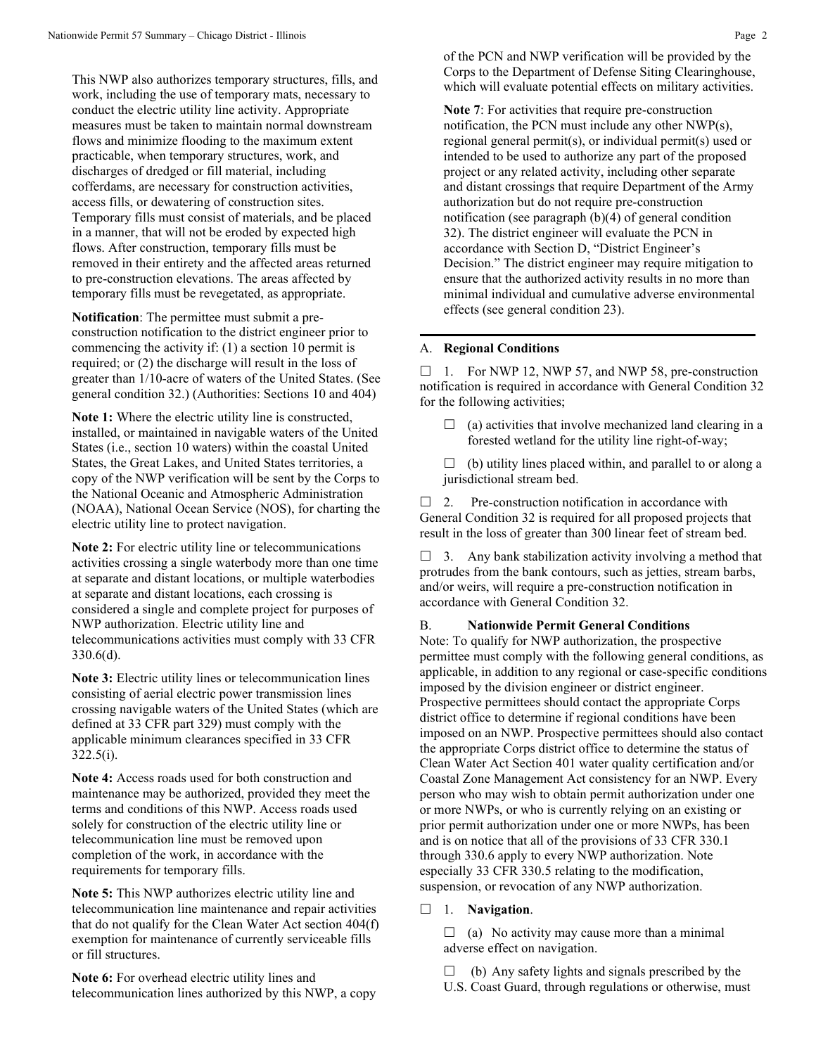This NWP also authorizes temporary structures, fills, and work, including the use of temporary mats, necessary to conduct the electric utility line activity. Appropriate measures must be taken to maintain normal downstream flows and minimize flooding to the maximum extent practicable, when temporary structures, work, and discharges of dredged or fill material, including cofferdams, are necessary for construction activities, access fills, or dewatering of construction sites. Temporary fills must consist of materials, and be placed in a manner, that will not be eroded by expected high flows. After construction, temporary fills must be removed in their entirety and the affected areas returned to pre-construction elevations. The areas affected by temporary fills must be revegetated, as appropriate.

**Notification**: The permittee must submit a preconstruction notification to the district engineer prior to commencing the activity if: (1) a section 10 permit is required; or (2) the discharge will result in the loss of greater than 1/10-acre of waters of the United States. (See general condition 32.) (Authorities: Sections 10 and 404)

**Note 1:** Where the electric utility line is constructed, installed, or maintained in navigable waters of the United States (i.e., section 10 waters) within the coastal United States, the Great Lakes, and United States territories, a copy of the NWP verification will be sent by the Corps to the National Oceanic and Atmospheric Administration (NOAA), National Ocean Service (NOS), for charting the electric utility line to protect navigation.

**Note 2:** For electric utility line or telecommunications activities crossing a single waterbody more than one time at separate and distant locations, or multiple waterbodies at separate and distant locations, each crossing is considered a single and complete project for purposes of NWP authorization. Electric utility line and telecommunications activities must comply with 33 CFR 330.6(d).

**Note 3:** Electric utility lines or telecommunication lines consisting of aerial electric power transmission lines crossing navigable waters of the United States (which are defined at 33 CFR part 329) must comply with the applicable minimum clearances specified in 33 CFR  $322.5(i)$ .

**Note 4:** Access roads used for both construction and maintenance may be authorized, provided they meet the terms and conditions of this NWP. Access roads used solely for construction of the electric utility line or telecommunication line must be removed upon completion of the work, in accordance with the requirements for temporary fills.

**Note 5:** This NWP authorizes electric utility line and telecommunication line maintenance and repair activities that do not qualify for the Clean Water Act section 404(f) exemption for maintenance of currently serviceable fills or fill structures.

**Note 6:** For overhead electric utility lines and telecommunication lines authorized by this NWP, a copy of the PCN and NWP verification will be provided by the Corps to the Department of Defense Siting Clearinghouse, which will evaluate potential effects on military activities.

**Note 7**: For activities that require pre-construction notification, the PCN must include any other NWP(s), regional general permit(s), or individual permit(s) used or intended to be used to authorize any part of the proposed project or any related activity, including other separate and distant crossings that require Department of the Army authorization but do not require pre-construction notification (see paragraph (b)(4) of general condition 32). The district engineer will evaluate the PCN in accordance with Section D, "District Engineer's Decision." The district engineer may require mitigation to ensure that the authorized activity results in no more than minimal individual and cumulative adverse environmental effects (see general condition 23).

## A. **Regional Conditions**

 $\Box$  1. For NWP 12, NWP 57, and NWP 58, pre-construction notification is required in accordance with General Condition 32 for the following activities;

 $\Box$  (a) activities that involve mechanized land clearing in a forested wetland for the utility line right-of-way;

 $\Box$  (b) utility lines placed within, and parallel to or along a jurisdictional stream bed.

 $\Box$  2. Pre-construction notification in accordance with General Condition 32 is required for all proposed projects that result in the loss of greater than 300 linear feet of stream bed.

 $\Box$  3. Any bank stabilization activity involving a method that protrudes from the bank contours, such as jetties, stream barbs, and/or weirs, will require a pre-construction notification in accordance with General Condition 32.

## B. **Nationwide Permit General Conditions**

Note: To qualify for NWP authorization, the prospective permittee must comply with the following general conditions, as applicable, in addition to any regional or case-specific conditions imposed by the division engineer or district engineer. Prospective permittees should contact the appropriate Corps district office to determine if regional conditions have been imposed on an NWP. Prospective permittees should also contact the appropriate Corps district office to determine the status of Clean Water Act Section 401 water quality certification and/or Coastal Zone Management Act consistency for an NWP. Every person who may wish to obtain permit authorization under one or more NWPs, or who is currently relying on an existing or prior permit authorization under one or more NWPs, has been and is on notice that all of the provisions of 33 CFR 330.1 through 330.6 apply to every NWP authorization. Note especially 33 CFR 330.5 relating to the modification, suspension, or revocation of any NWP authorization.

## 1. **Navigation**.

 $\Box$  (a) No activity may cause more than a minimal adverse effect on navigation.

 $\Box$  (b) Any safety lights and signals prescribed by the U.S. Coast Guard, through regulations or otherwise, must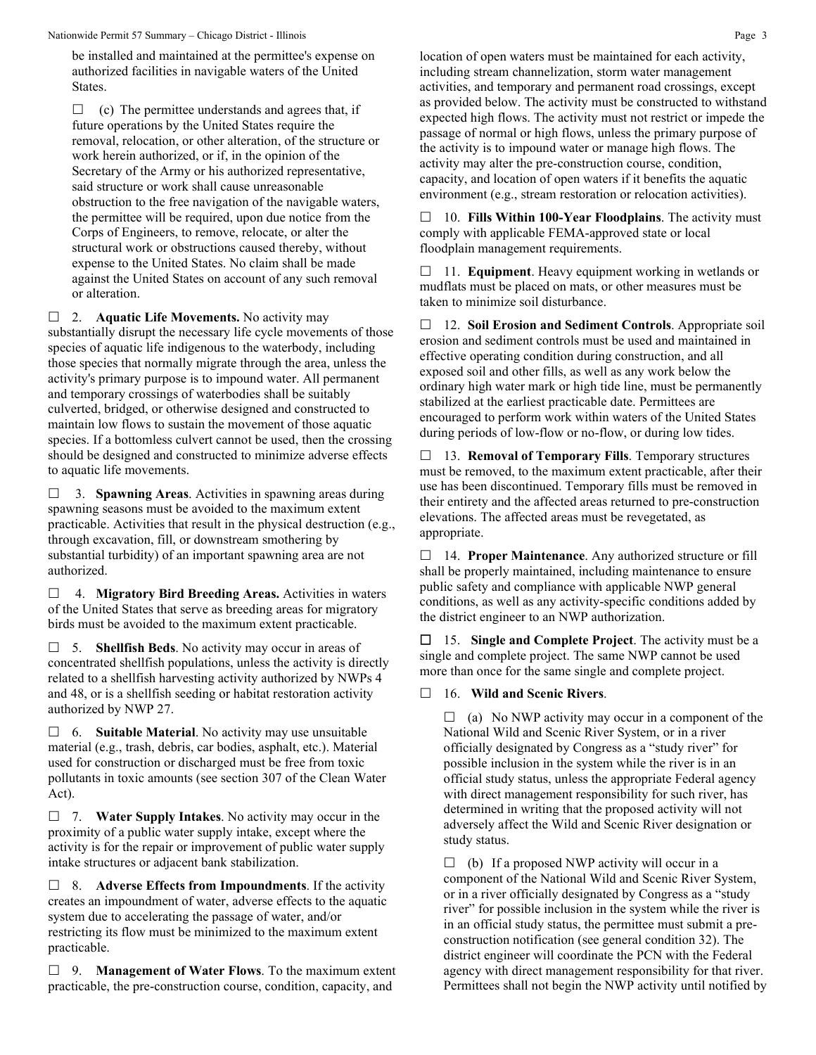be installed and maintained at the permittee's expense on authorized facilities in navigable waters of the United States.

 $\Box$  (c) The permittee understands and agrees that, if future operations by the United States require the removal, relocation, or other alteration, of the structure or work herein authorized, or if, in the opinion of the Secretary of the Army or his authorized representative, said structure or work shall cause unreasonable obstruction to the free navigation of the navigable waters, the permittee will be required, upon due notice from the Corps of Engineers, to remove, relocate, or alter the structural work or obstructions caused thereby, without expense to the United States. No claim shall be made against the United States on account of any such removal or alteration.

□ 2. **Aquatic Life Movements.** No activity may substantially disrupt the necessary life cycle movements of those species of aquatic life indigenous to the waterbody, including those species that normally migrate through the area, unless the activity's primary purpose is to impound water. All permanent and temporary crossings of waterbodies shall be suitably culverted, bridged, or otherwise designed and constructed to maintain low flows to sustain the movement of those aquatic species. If a bottomless culvert cannot be used, then the crossing should be designed and constructed to minimize adverse effects to aquatic life movements.

 3. **Spawning Areas**. Activities in spawning areas during spawning seasons must be avoided to the maximum extent practicable. Activities that result in the physical destruction (e.g., through excavation, fill, or downstream smothering by substantial turbidity) of an important spawning area are not authorized.

 4. **Migratory Bird Breeding Areas.** Activities in waters of the United States that serve as breeding areas for migratory birds must be avoided to the maximum extent practicable.

 5. **Shellfish Beds**. No activity may occur in areas of concentrated shellfish populations, unless the activity is directly related to a shellfish harvesting activity authorized by NWPs 4 and 48, or is a shellfish seeding or habitat restoration activity authorized by NWP 27.

 6. **Suitable Material**. No activity may use unsuitable material (e.g., trash, debris, car bodies, asphalt, etc.). Material used for construction or discharged must be free from toxic pollutants in toxic amounts (see section 307 of the Clean Water Act).

 7. **Water Supply Intakes**. No activity may occur in the proximity of a public water supply intake, except where the activity is for the repair or improvement of public water supply intake structures or adjacent bank stabilization.

 8. **Adverse Effects from Impoundments**. If the activity creates an impoundment of water, adverse effects to the aquatic system due to accelerating the passage of water, and/or restricting its flow must be minimized to the maximum extent practicable.

 9. **Management of Water Flows**. To the maximum extent practicable, the pre-construction course, condition, capacity, and

location of open waters must be maintained for each activity, including stream channelization, storm water management activities, and temporary and permanent road crossings, except as provided below. The activity must be constructed to withstand expected high flows. The activity must not restrict or impede the passage of normal or high flows, unless the primary purpose of the activity is to impound water or manage high flows. The activity may alter the pre-construction course, condition, capacity, and location of open waters if it benefits the aquatic environment (e.g., stream restoration or relocation activities).

 10. **Fills Within 100-Year Floodplains**. The activity must comply with applicable FEMA-approved state or local floodplain management requirements.

□ 11. **Equipment**. Heavy equipment working in wetlands or mudflats must be placed on mats, or other measures must be taken to minimize soil disturbance.

 12. **Soil Erosion and Sediment Controls**. Appropriate soil erosion and sediment controls must be used and maintained in effective operating condition during construction, and all exposed soil and other fills, as well as any work below the ordinary high water mark or high tide line, must be permanently stabilized at the earliest practicable date. Permittees are encouraged to perform work within waters of the United States during periods of low-flow or no-flow, or during low tides.

 13. **Removal of Temporary Fills**. Temporary structures must be removed, to the maximum extent practicable, after their use has been discontinued. Temporary fills must be removed in their entirety and the affected areas returned to pre-construction elevations. The affected areas must be revegetated, as appropriate.

 14. **Proper Maintenance**. Any authorized structure or fill shall be properly maintained, including maintenance to ensure public safety and compliance with applicable NWP general conditions, as well as any activity-specific conditions added by the district engineer to an NWP authorization.

 15. **Single and Complete Project**. The activity must be a single and complete project. The same NWP cannot be used more than once for the same single and complete project.

16. **Wild and Scenic Rivers**.

 $\Box$  (a) No NWP activity may occur in a component of the National Wild and Scenic River System, or in a river officially designated by Congress as a "study river" for possible inclusion in the system while the river is in an official study status, unless the appropriate Federal agency with direct management responsibility for such river, has determined in writing that the proposed activity will not adversely affect the Wild and Scenic River designation or study status.

 $\Box$  (b) If a proposed NWP activity will occur in a component of the National Wild and Scenic River System, or in a river officially designated by Congress as a "study river" for possible inclusion in the system while the river is in an official study status, the permittee must submit a preconstruction notification (see general condition 32). The district engineer will coordinate the PCN with the Federal agency with direct management responsibility for that river. Permittees shall not begin the NWP activity until notified by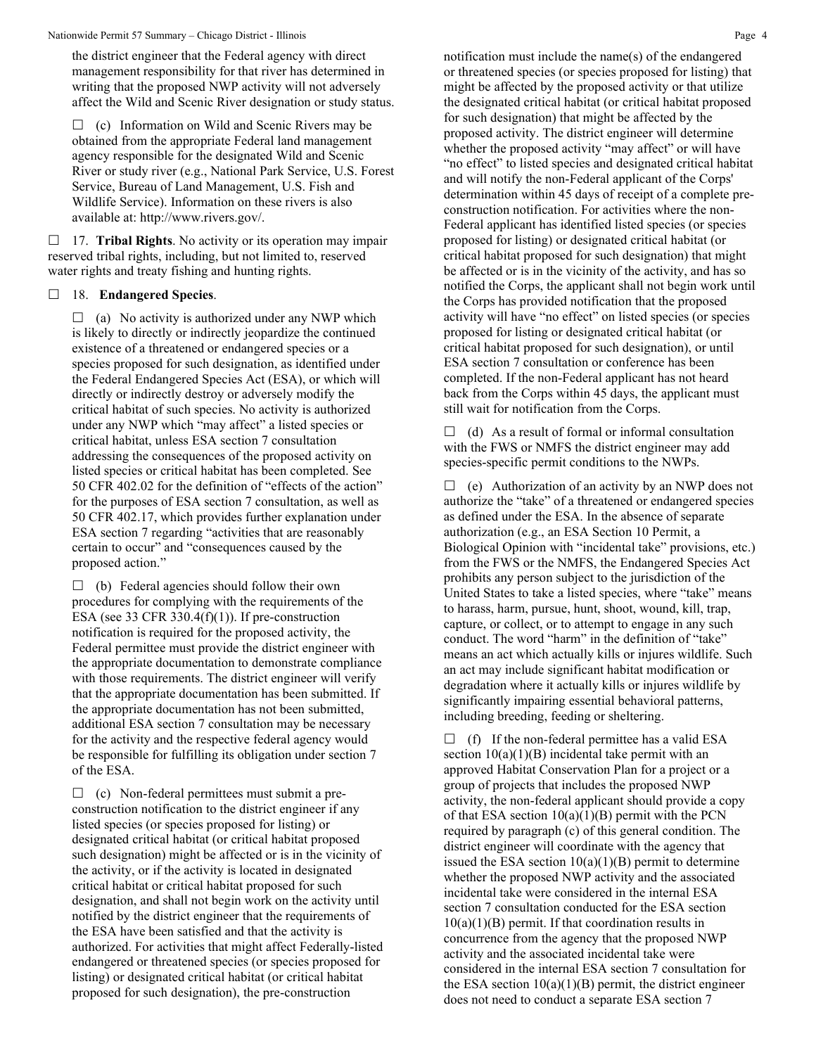the district engineer that the Federal agency with direct management responsibility for that river has determined in writing that the proposed NWP activity will not adversely affect the Wild and Scenic River designation or study status.

 $\Box$  (c) Information on Wild and Scenic Rivers may be obtained from the appropriate Federal land management agency responsible for the designated Wild and Scenic River or study river (e.g., National Park Service, U.S. Forest Service, Bureau of Land Management, U.S. Fish and Wildlife Service). Information on these rivers is also available at: http://www.rivers.gov/.

 17. **Tribal Rights**. No activity or its operation may impair reserved tribal rights, including, but not limited to, reserved water rights and treaty fishing and hunting rights.

### 18. **Endangered Species**.

 $\Box$  (a) No activity is authorized under any NWP which is likely to directly or indirectly jeopardize the continued existence of a threatened or endangered species or a species proposed for such designation, as identified under the Federal Endangered Species Act (ESA), or which will directly or indirectly destroy or adversely modify the critical habitat of such species. No activity is authorized under any NWP which "may affect" a listed species or critical habitat, unless ESA section 7 consultation addressing the consequences of the proposed activity on listed species or critical habitat has been completed. See 50 CFR 402.02 for the definition of "effects of the action" for the purposes of ESA section 7 consultation, as well as 50 CFR 402.17, which provides further explanation under ESA section 7 regarding "activities that are reasonably certain to occur" and "consequences caused by the proposed action."

 $\Box$  (b) Federal agencies should follow their own procedures for complying with the requirements of the ESA (see 33 CFR 330.4 $(f)(1)$ ). If pre-construction notification is required for the proposed activity, the Federal permittee must provide the district engineer with the appropriate documentation to demonstrate compliance with those requirements. The district engineer will verify that the appropriate documentation has been submitted. If the appropriate documentation has not been submitted, additional ESA section 7 consultation may be necessary for the activity and the respective federal agency would be responsible for fulfilling its obligation under section 7 of the ESA.

 $\Box$  (c) Non-federal permittees must submit a preconstruction notification to the district engineer if any listed species (or species proposed for listing) or designated critical habitat (or critical habitat proposed such designation) might be affected or is in the vicinity of the activity, or if the activity is located in designated critical habitat or critical habitat proposed for such designation, and shall not begin work on the activity until notified by the district engineer that the requirements of the ESA have been satisfied and that the activity is authorized. For activities that might affect Federally-listed endangered or threatened species (or species proposed for listing) or designated critical habitat (or critical habitat proposed for such designation), the pre-construction

notification must include the name(s) of the endangered or threatened species (or species proposed for listing) that might be affected by the proposed activity or that utilize the designated critical habitat (or critical habitat proposed for such designation) that might be affected by the proposed activity. The district engineer will determine whether the proposed activity "may affect" or will have "no effect" to listed species and designated critical habitat and will notify the non-Federal applicant of the Corps' determination within 45 days of receipt of a complete preconstruction notification. For activities where the non-Federal applicant has identified listed species (or species proposed for listing) or designated critical habitat (or critical habitat proposed for such designation) that might be affected or is in the vicinity of the activity, and has so notified the Corps, the applicant shall not begin work until the Corps has provided notification that the proposed activity will have "no effect" on listed species (or species proposed for listing or designated critical habitat (or critical habitat proposed for such designation), or until ESA section 7 consultation or conference has been completed. If the non-Federal applicant has not heard back from the Corps within 45 days, the applicant must still wait for notification from the Corps.

 $\Box$  (d) As a result of formal or informal consultation with the FWS or NMFS the district engineer may add species-specific permit conditions to the NWPs.

 $\Box$  (e) Authorization of an activity by an NWP does not authorize the "take" of a threatened or endangered species as defined under the ESA. In the absence of separate authorization (e.g., an ESA Section 10 Permit, a Biological Opinion with "incidental take" provisions, etc.) from the FWS or the NMFS, the Endangered Species Act prohibits any person subject to the jurisdiction of the United States to take a listed species, where "take" means to harass, harm, pursue, hunt, shoot, wound, kill, trap, capture, or collect, or to attempt to engage in any such conduct. The word "harm" in the definition of "take" means an act which actually kills or injures wildlife. Such an act may include significant habitat modification or degradation where it actually kills or injures wildlife by significantly impairing essential behavioral patterns, including breeding, feeding or sheltering.

 $\Box$  (f) If the non-federal permittee has a valid ESA section  $10(a)(1)(B)$  incidental take permit with an approved Habitat Conservation Plan for a project or a group of projects that includes the proposed NWP activity, the non-federal applicant should provide a copy of that ESA section  $10(a)(1)(B)$  permit with the PCN required by paragraph (c) of this general condition. The district engineer will coordinate with the agency that issued the ESA section  $10(a)(1)(B)$  permit to determine whether the proposed NWP activity and the associated incidental take were considered in the internal ESA section 7 consultation conducted for the ESA section  $10(a)(1)(B)$  permit. If that coordination results in concurrence from the agency that the proposed NWP activity and the associated incidental take were considered in the internal ESA section 7 consultation for the ESA section  $10(a)(1)(B)$  permit, the district engineer does not need to conduct a separate ESA section 7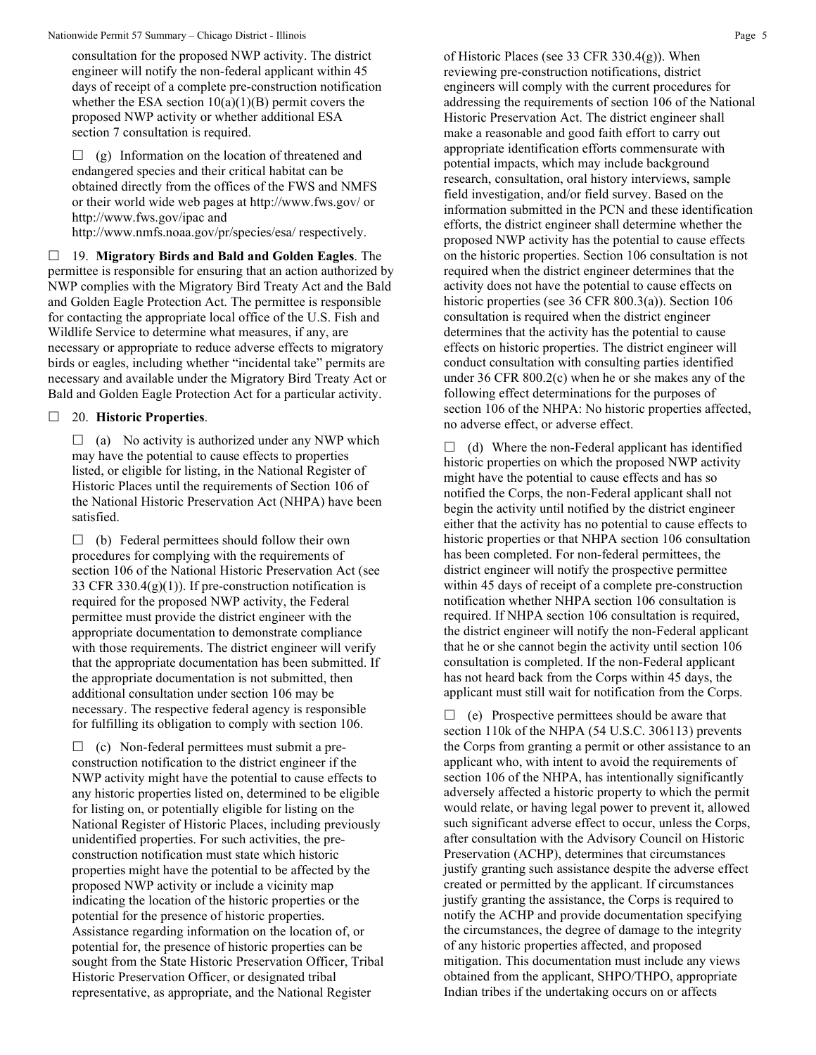consultation for the proposed NWP activity. The district engineer will notify the non-federal applicant within 45 days of receipt of a complete pre-construction notification whether the ESA section  $10(a)(1)(B)$  permit covers the proposed NWP activity or whether additional ESA section 7 consultation is required.

 $\Box$  (g) Information on the location of threatened and endangered species and their critical habitat can be obtained directly from the offices of the FWS and NMFS or their world wide web pages at http://www.fws.gov/ or http://www.fws.gov/ipac and

http://www.nmfs.noaa.gov/pr/species/esa/ respectively.

 19. **Migratory Birds and Bald and Golden Eagles**. The permittee is responsible for ensuring that an action authorized by NWP complies with the Migratory Bird Treaty Act and the Bald and Golden Eagle Protection Act. The permittee is responsible for contacting the appropriate local office of the U.S. Fish and Wildlife Service to determine what measures, if any, are necessary or appropriate to reduce adverse effects to migratory birds or eagles, including whether "incidental take" permits are necessary and available under the Migratory Bird Treaty Act or Bald and Golden Eagle Protection Act for a particular activity.

20. **Historic Properties**.

 $\Box$  (a) No activity is authorized under any NWP which may have the potential to cause effects to properties listed, or eligible for listing, in the National Register of Historic Places until the requirements of Section 106 of the National Historic Preservation Act (NHPA) have been satisfied.

 $\Box$  (b) Federal permittees should follow their own procedures for complying with the requirements of section 106 of the National Historic Preservation Act (see 33 CFR 330.4 $(g)(1)$ ). If pre-construction notification is required for the proposed NWP activity, the Federal permittee must provide the district engineer with the appropriate documentation to demonstrate compliance with those requirements. The district engineer will verify that the appropriate documentation has been submitted. If the appropriate documentation is not submitted, then additional consultation under section 106 may be necessary. The respective federal agency is responsible for fulfilling its obligation to comply with section 106.

 $\Box$  (c) Non-federal permittees must submit a preconstruction notification to the district engineer if the NWP activity might have the potential to cause effects to any historic properties listed on, determined to be eligible for listing on, or potentially eligible for listing on the National Register of Historic Places, including previously unidentified properties. For such activities, the preconstruction notification must state which historic properties might have the potential to be affected by the proposed NWP activity or include a vicinity map indicating the location of the historic properties or the potential for the presence of historic properties. Assistance regarding information on the location of, or potential for, the presence of historic properties can be sought from the State Historic Preservation Officer, Tribal Historic Preservation Officer, or designated tribal representative, as appropriate, and the National Register

of Historic Places (see 33 CFR 330.4(g)). When reviewing pre-construction notifications, district engineers will comply with the current procedures for addressing the requirements of section 106 of the National Historic Preservation Act. The district engineer shall make a reasonable and good faith effort to carry out appropriate identification efforts commensurate with potential impacts, which may include background research, consultation, oral history interviews, sample field investigation, and/or field survey. Based on the information submitted in the PCN and these identification efforts, the district engineer shall determine whether the proposed NWP activity has the potential to cause effects on the historic properties. Section 106 consultation is not required when the district engineer determines that the activity does not have the potential to cause effects on historic properties (see 36 CFR 800.3(a)). Section 106 consultation is required when the district engineer determines that the activity has the potential to cause effects on historic properties. The district engineer will conduct consultation with consulting parties identified under 36 CFR 800.2(c) when he or she makes any of the following effect determinations for the purposes of section 106 of the NHPA: No historic properties affected, no adverse effect, or adverse effect.

 $\Box$  (d) Where the non-Federal applicant has identified historic properties on which the proposed NWP activity might have the potential to cause effects and has so notified the Corps, the non-Federal applicant shall not begin the activity until notified by the district engineer either that the activity has no potential to cause effects to historic properties or that NHPA section 106 consultation has been completed. For non-federal permittees, the district engineer will notify the prospective permittee within 45 days of receipt of a complete pre-construction notification whether NHPA section 106 consultation is required. If NHPA section 106 consultation is required, the district engineer will notify the non-Federal applicant that he or she cannot begin the activity until section 106 consultation is completed. If the non-Federal applicant has not heard back from the Corps within 45 days, the applicant must still wait for notification from the Corps.

 $\Box$  (e) Prospective permittees should be aware that section 110k of the NHPA (54 U.S.C. 306113) prevents the Corps from granting a permit or other assistance to an applicant who, with intent to avoid the requirements of section 106 of the NHPA, has intentionally significantly adversely affected a historic property to which the permit would relate, or having legal power to prevent it, allowed such significant adverse effect to occur, unless the Corps, after consultation with the Advisory Council on Historic Preservation (ACHP), determines that circumstances justify granting such assistance despite the adverse effect created or permitted by the applicant. If circumstances justify granting the assistance, the Corps is required to notify the ACHP and provide documentation specifying the circumstances, the degree of damage to the integrity of any historic properties affected, and proposed mitigation. This documentation must include any views obtained from the applicant, SHPO/THPO, appropriate Indian tribes if the undertaking occurs on or affects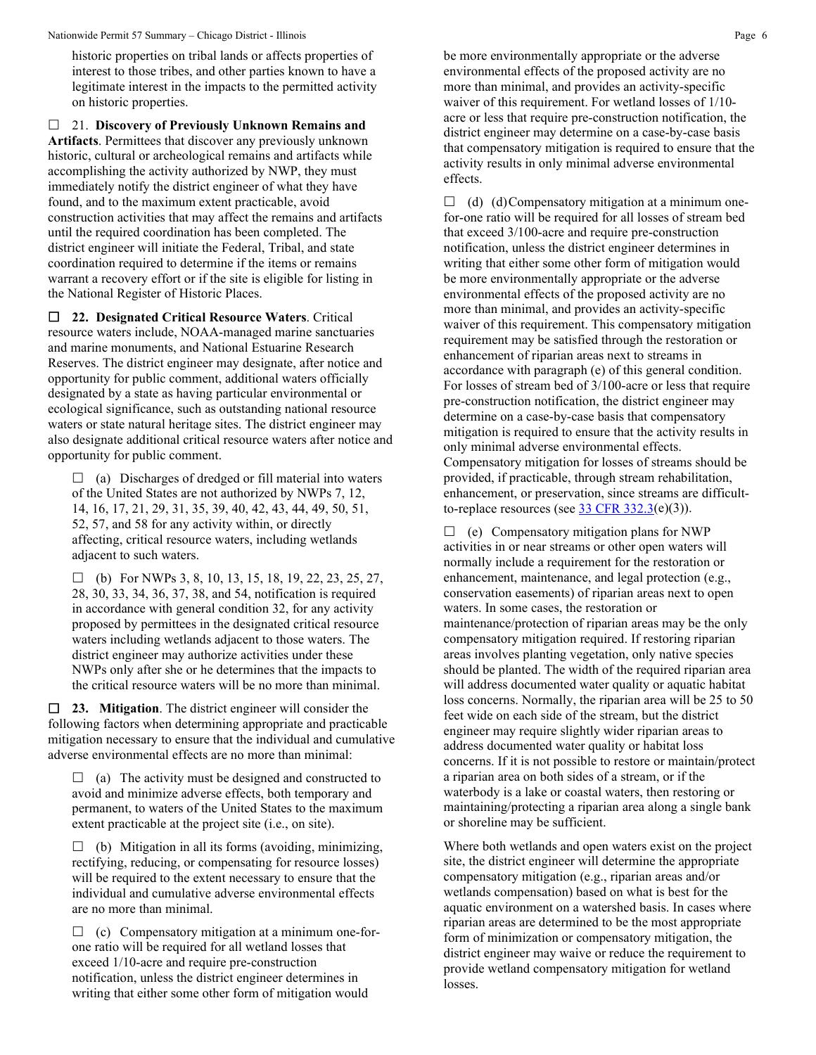historic properties on tribal lands or affects properties of interest to those tribes, and other parties known to have a legitimate interest in the impacts to the permitted activity on historic properties.

 21. **Discovery of Previously Unknown Remains and Artifacts**. Permittees that discover any previously unknown historic, cultural or archeological remains and artifacts while accomplishing the activity authorized by NWP, they must immediately notify the district engineer of what they have found, and to the maximum extent practicable, avoid construction activities that may affect the remains and artifacts until the required coordination has been completed. The district engineer will initiate the Federal, Tribal, and state coordination required to determine if the items or remains warrant a recovery effort or if the site is eligible for listing in the National Register of Historic Places.

 **22. Designated Critical Resource Waters**. Critical resource waters include, NOAA-managed marine sanctuaries and marine monuments, and National Estuarine Research Reserves. The district engineer may designate, after notice and opportunity for public comment, additional waters officially designated by a state as having particular environmental or ecological significance, such as outstanding national resource waters or state natural heritage sites. The district engineer may also designate additional critical resource waters after notice and opportunity for public comment.

 $\Box$  (a) Discharges of dredged or fill material into waters of the United States are not authorized by NWPs 7, 12, 14, 16, 17, 21, 29, 31, 35, 39, 40, 42, 43, 44, 49, 50, 51, 52, 57, and 58 for any activity within, or directly affecting, critical resource waters, including wetlands adjacent to such waters.

 $\Box$  (b) For NWPs 3, 8, 10, 13, 15, 18, 19, 22, 23, 25, 27, 28, 30, 33, 34, 36, 37, 38, and 54, notification is required in accordance with general condition 32, for any activity proposed by permittees in the designated critical resource waters including wetlands adjacent to those waters. The district engineer may authorize activities under these NWPs only after she or he determines that the impacts to the critical resource waters will be no more than minimal.

 **23. Mitigation**. The district engineer will consider the following factors when determining appropriate and practicable mitigation necessary to ensure that the individual and cumulative adverse environmental effects are no more than minimal:

 $\Box$  (a) The activity must be designed and constructed to avoid and minimize adverse effects, both temporary and permanent, to waters of the United States to the maximum extent practicable at the project site (i.e., on site).

 $\Box$  (b) Mitigation in all its forms (avoiding, minimizing, rectifying, reducing, or compensating for resource losses) will be required to the extent necessary to ensure that the individual and cumulative adverse environmental effects are no more than minimal.

 $\Box$  (c) Compensatory mitigation at a minimum one-forone ratio will be required for all wetland losses that exceed 1/10-acre and require pre-construction notification, unless the district engineer determines in writing that either some other form of mitigation would

be more environmentally appropriate or the adverse environmental effects of the proposed activity are no more than minimal, and provides an activity-specific waiver of this requirement. For wetland losses of 1/10 acre or less that require pre-construction notification, the district engineer may determine on a case-by-case basis that compensatory mitigation is required to ensure that the activity results in only minimal adverse environmental effects.

 $\Box$  (d) (d) Compensatory mitigation at a minimum onefor-one ratio will be required for all losses of stream bed that exceed 3/100-acre and require pre-construction notification, unless the district engineer determines in writing that either some other form of mitigation would be more environmentally appropriate or the adverse environmental effects of the proposed activity are no more than minimal, and provides an activity-specific waiver of this requirement. This compensatory mitigation requirement may be satisfied through the restoration or enhancement of riparian areas next to streams in accordance with paragraph (e) of this general condition. For losses of stream bed of 3/100-acre or less that require pre-construction notification, the district engineer may determine on a case-by-case basis that compensatory mitigation is required to ensure that the activity results in only minimal adverse environmental effects. Compensatory mitigation for losses of streams should be provided, if practicable, through stream rehabilitation, enhancement, or preservation, since streams are difficultto-replace resources (see  $33 \text{ CFR } 332.3(e)(3)$ ).

 $\Box$  (e) Compensatory mitigation plans for NWP activities in or near streams or other open waters will normally include a requirement for the restoration or enhancement, maintenance, and legal protection (e.g., conservation easements) of riparian areas next to open waters. In some cases, the restoration or maintenance/protection of riparian areas may be the only compensatory mitigation required. If restoring riparian areas involves planting vegetation, only native species should be planted. The width of the required riparian area will address documented water quality or aquatic habitat loss concerns. Normally, the riparian area will be 25 to 50 feet wide on each side of the stream, but the district engineer may require slightly wider riparian areas to address documented water quality or habitat loss concerns. If it is not possible to restore or maintain/protect a riparian area on both sides of a stream, or if the waterbody is a lake or coastal waters, then restoring or maintaining/protecting a riparian area along a single bank or shoreline may be sufficient.

Where both wetlands and open waters exist on the project site, the district engineer will determine the appropriate compensatory mitigation (e.g., riparian areas and/or wetlands compensation) based on what is best for the aquatic environment on a watershed basis. In cases where riparian areas are determined to be the most appropriate form of minimization or compensatory mitigation, the district engineer may waive or reduce the requirement to provide wetland compensatory mitigation for wetland losses.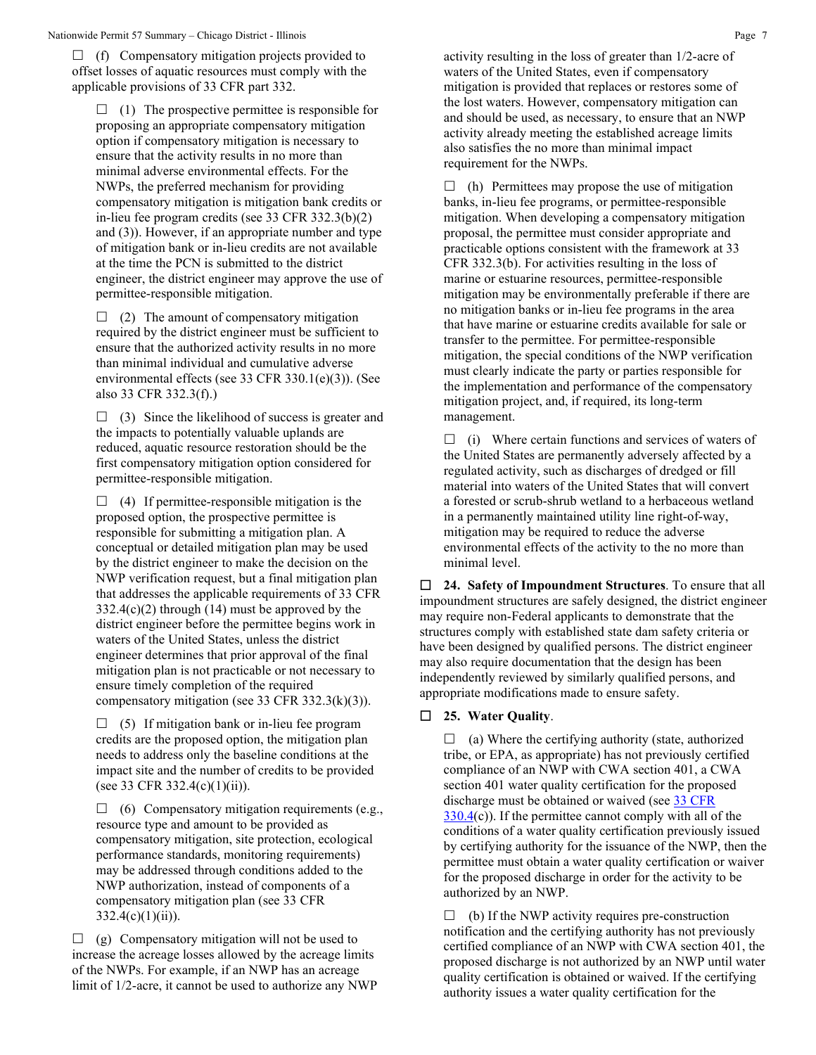$\Box$  (f) Compensatory mitigation projects provided to offset losses of aquatic resources must comply with the applicable provisions of 33 CFR part 332.

 $\Box$  (1) The prospective permittee is responsible for proposing an appropriate compensatory mitigation option if compensatory mitigation is necessary to ensure that the activity results in no more than minimal adverse environmental effects. For the NWPs, the preferred mechanism for providing compensatory mitigation is mitigation bank credits or in-lieu fee program credits (see 33 CFR 332.3(b)(2) and (3)). However, if an appropriate number and type of mitigation bank or in-lieu credits are not available at the time the PCN is submitted to the district engineer, the district engineer may approve the use of permittee-responsible mitigation.

 $\Box$  (2) The amount of compensatory mitigation required by the district engineer must be sufficient to ensure that the authorized activity results in no more than minimal individual and cumulative adverse environmental effects (see 33 CFR 330.1(e)(3)). (See also 33 CFR 332.3(f).)

 $\Box$  (3) Since the likelihood of success is greater and the impacts to potentially valuable uplands are reduced, aquatic resource restoration should be the first compensatory mitigation option considered for permittee-responsible mitigation.

 $\Box$  (4) If permittee-responsible mitigation is the proposed option, the prospective permittee is responsible for submitting a mitigation plan. A conceptual or detailed mitigation plan may be used by the district engineer to make the decision on the NWP verification request, but a final mitigation plan that addresses the applicable requirements of 33 CFR  $332.4(c)(2)$  through (14) must be approved by the district engineer before the permittee begins work in waters of the United States, unless the district engineer determines that prior approval of the final mitigation plan is not practicable or not necessary to ensure timely completion of the required compensatory mitigation (see 33 CFR 332.3(k)(3)).

 $\Box$  (5) If mitigation bank or in-lieu fee program credits are the proposed option, the mitigation plan needs to address only the baseline conditions at the impact site and the number of credits to be provided (see 33 CFR 332.4(c)(1)(ii)).

 $\Box$  (6) Compensatory mitigation requirements (e.g., resource type and amount to be provided as compensatory mitigation, site protection, ecological performance standards, monitoring requirements) may be addressed through conditions added to the NWP authorization, instead of components of a compensatory mitigation plan (see 33 CFR  $332.4(c)(1)(ii)$ ).

 $\Box$  (g) Compensatory mitigation will not be used to increase the acreage losses allowed by the acreage limits of the NWPs. For example, if an NWP has an acreage limit of 1/2-acre, it cannot be used to authorize any NWP activity resulting in the loss of greater than 1/2-acre of waters of the United States, even if compensatory mitigation is provided that replaces or restores some of the lost waters. However, compensatory mitigation can and should be used, as necessary, to ensure that an NWP activity already meeting the established acreage limits also satisfies the no more than minimal impact requirement for the NWPs.

 $\Box$  (h) Permittees may propose the use of mitigation banks, in-lieu fee programs, or permittee-responsible mitigation. When developing a compensatory mitigation proposal, the permittee must consider appropriate and practicable options consistent with the framework at 33 CFR 332.3(b). For activities resulting in the loss of marine or estuarine resources, permittee-responsible mitigation may be environmentally preferable if there are no mitigation banks or in-lieu fee programs in the area that have marine or estuarine credits available for sale or transfer to the permittee. For permittee-responsible mitigation, the special conditions of the NWP verification must clearly indicate the party or parties responsible for the implementation and performance of the compensatory mitigation project, and, if required, its long-term management.

 $\Box$  (i) Where certain functions and services of waters of the United States are permanently adversely affected by a regulated activity, such as discharges of dredged or fill material into waters of the United States that will convert a forested or scrub-shrub wetland to a herbaceous wetland in a permanently maintained utility line right-of-way, mitigation may be required to reduce the adverse environmental effects of the activity to the no more than minimal level.

 **24. Safety of Impoundment Structures**. To ensure that all impoundment structures are safely designed, the district engineer may require non-Federal applicants to demonstrate that the structures comply with established state dam safety criteria or have been designed by qualified persons. The district engineer may also require documentation that the design has been independently reviewed by similarly qualified persons, and appropriate modifications made to ensure safety.

## **25. Water Quality**.

 $\Box$  (a) Where the certifying authority (state, authorized tribe, or EPA, as appropriate) has not previously certified compliance of an NWP with CWA section 401, a CWA section 401 water quality certification for the proposed discharge must be obtained or waived (see [33 CFR](https://www.federalregister.gov/select-citation/2021/01/13/33-CFR-330.4)  [330.4\(](https://www.federalregister.gov/select-citation/2021/01/13/33-CFR-330.4)c)). If the permittee cannot comply with all of the conditions of a water quality certification previously issued by certifying authority for the issuance of the NWP, then the permittee must obtain a water quality certification or waiver for the proposed discharge in order for the activity to be authorized by an NWP.

 $\Box$  (b) If the NWP activity requires pre-construction notification and the certifying authority has not previously certified compliance of an NWP with CWA section 401, the proposed discharge is not authorized by an NWP until water quality certification is obtained or waived. If the certifying authority issues a water quality certification for the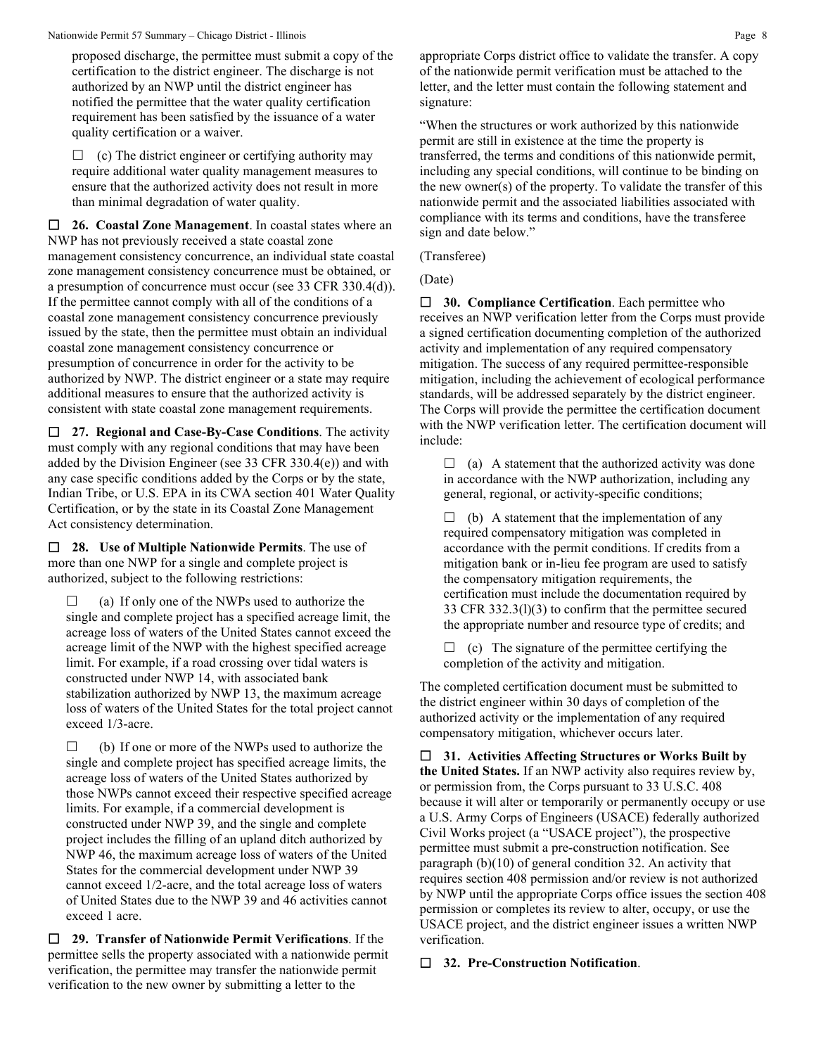proposed discharge, the permittee must submit a copy of the certification to the district engineer. The discharge is not authorized by an NWP until the district engineer has notified the permittee that the water quality certification requirement has been satisfied by the issuance of a water quality certification or a waiver.

 $\Box$  (c) The district engineer or certifying authority may require additional water quality management measures to ensure that the authorized activity does not result in more than minimal degradation of water quality.

 **26. Coastal Zone Management**. In coastal states where an NWP has not previously received a state coastal zone management consistency concurrence, an individual state coastal zone management consistency concurrence must be obtained, or a presumption of concurrence must occur (see 33 CFR 330.4(d)). If the permittee cannot comply with all of the conditions of a coastal zone management consistency concurrence previously issued by the state, then the permittee must obtain an individual coastal zone management consistency concurrence or presumption of concurrence in order for the activity to be authorized by NWP. The district engineer or a state may require additional measures to ensure that the authorized activity is consistent with state coastal zone management requirements.

 **27. Regional and Case-By-Case Conditions**. The activity must comply with any regional conditions that may have been added by the Division Engineer (see 33 CFR 330.4(e)) and with any case specific conditions added by the Corps or by the state, Indian Tribe, or U.S. EPA in its CWA section 401 Water Quality Certification, or by the state in its Coastal Zone Management Act consistency determination.

 **28. Use of Multiple Nationwide Permits**. The use of more than one NWP for a single and complete project is authorized, subject to the following restrictions:

 $\Box$  (a) If only one of the NWPs used to authorize the single and complete project has a specified acreage limit, the acreage loss of waters of the United States cannot exceed the acreage limit of the NWP with the highest specified acreage limit. For example, if a road crossing over tidal waters is constructed under NWP 14, with associated bank stabilization authorized by NWP 13, the maximum acreage loss of waters of the United States for the total project cannot exceed 1/3-acre.

 $\Box$  (b) If one or more of the NWPs used to authorize the single and complete project has specified acreage limits, the acreage loss of waters of the United States authorized by those NWPs cannot exceed their respective specified acreage limits. For example, if a commercial development is constructed under NWP 39, and the single and complete project includes the filling of an upland ditch authorized by NWP 46, the maximum acreage loss of waters of the United States for the commercial development under NWP 39 cannot exceed 1/2-acre, and the total acreage loss of waters of United States due to the NWP 39 and 46 activities cannot exceed 1 acre.

 **29. Transfer of Nationwide Permit Verifications**. If the permittee sells the property associated with a nationwide permit verification, the permittee may transfer the nationwide permit verification to the new owner by submitting a letter to the

appropriate Corps district office to validate the transfer. A copy of the nationwide permit verification must be attached to the letter, and the letter must contain the following statement and signature:

"When the structures or work authorized by this nationwide permit are still in existence at the time the property is transferred, the terms and conditions of this nationwide permit, including any special conditions, will continue to be binding on the new owner(s) of the property. To validate the transfer of this nationwide permit and the associated liabilities associated with compliance with its terms and conditions, have the transferee sign and date below."

(Transferee)

(Date)

 **30. Compliance Certification**. Each permittee who receives an NWP verification letter from the Corps must provide a signed certification documenting completion of the authorized activity and implementation of any required compensatory mitigation. The success of any required permittee-responsible mitigation, including the achievement of ecological performance standards, will be addressed separately by the district engineer. The Corps will provide the permittee the certification document with the NWP verification letter. The certification document will include:

 $\Box$  (a) A statement that the authorized activity was done in accordance with the NWP authorization, including any general, regional, or activity-specific conditions;

 $\Box$  (b) A statement that the implementation of any required compensatory mitigation was completed in accordance with the permit conditions. If credits from a mitigation bank or in-lieu fee program are used to satisfy the compensatory mitigation requirements, the certification must include the documentation required by 33 CFR 332.3(l)(3) to confirm that the permittee secured the appropriate number and resource type of credits; and

 $\Box$  (c) The signature of the permittee certifying the completion of the activity and mitigation.

The completed certification document must be submitted to the district engineer within 30 days of completion of the authorized activity or the implementation of any required compensatory mitigation, whichever occurs later.

 **31. Activities Affecting Structures or Works Built by the United States.** If an NWP activity also requires review by, or permission from, the Corps pursuant to 33 U.S.C. 408 because it will alter or temporarily or permanently occupy or use a U.S. Army Corps of Engineers (USACE) federally authorized Civil Works project (a "USACE project"), the prospective permittee must submit a pre-construction notification. See paragraph (b)(10) of general condition 32. An activity that requires section 408 permission and/or review is not authorized by NWP until the appropriate Corps office issues the section 408 permission or completes its review to alter, occupy, or use the USACE project, and the district engineer issues a written NWP verification.

## **32. Pre-Construction Notification**.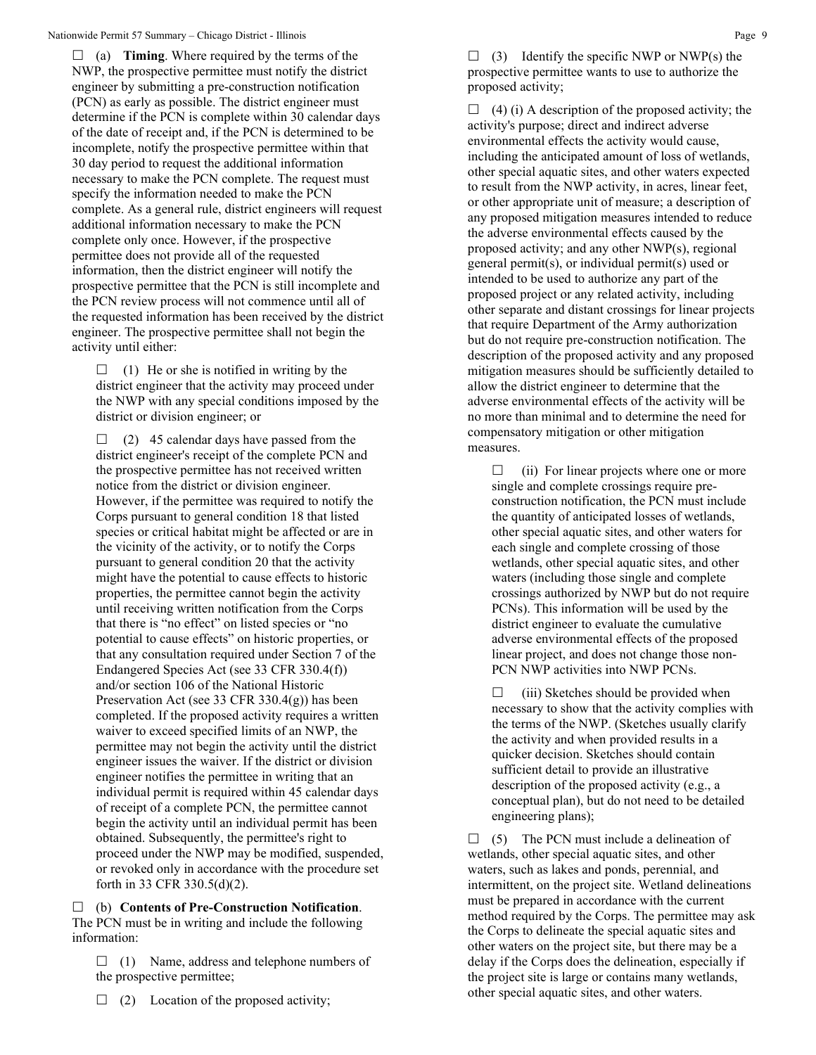$\Box$  (a) **Timing**. Where required by the terms of the NWP, the prospective permittee must notify the district engineer by submitting a pre-construction notification (PCN) as early as possible. The district engineer must determine if the PCN is complete within 30 calendar days of the date of receipt and, if the PCN is determined to be incomplete, notify the prospective permittee within that 30 day period to request the additional information necessary to make the PCN complete. The request must specify the information needed to make the PCN complete. As a general rule, district engineers will request additional information necessary to make the PCN complete only once. However, if the prospective permittee does not provide all of the requested information, then the district engineer will notify the prospective permittee that the PCN is still incomplete and the PCN review process will not commence until all of the requested information has been received by the district engineer. The prospective permittee shall not begin the activity until either:

 $\Box$  (1) He or she is notified in writing by the district engineer that the activity may proceed under the NWP with any special conditions imposed by the district or division engineer; or

 $\Box$  (2) 45 calendar days have passed from the district engineer's receipt of the complete PCN and the prospective permittee has not received written notice from the district or division engineer. However, if the permittee was required to notify the Corps pursuant to general condition 18 that listed species or critical habitat might be affected or are in the vicinity of the activity, or to notify the Corps pursuant to general condition 20 that the activity might have the potential to cause effects to historic properties, the permittee cannot begin the activity until receiving written notification from the Corps that there is "no effect" on listed species or "no potential to cause effects" on historic properties, or that any consultation required under Section 7 of the Endangered Species Act (see 33 CFR 330.4(f)) and/or section 106 of the National Historic Preservation Act (see 33 CFR 330.4(g)) has been completed. If the proposed activity requires a written waiver to exceed specified limits of an NWP, the permittee may not begin the activity until the district engineer issues the waiver. If the district or division engineer notifies the permittee in writing that an individual permit is required within 45 calendar days of receipt of a complete PCN, the permittee cannot begin the activity until an individual permit has been obtained. Subsequently, the permittee's right to proceed under the NWP may be modified, suspended, or revoked only in accordance with the procedure set forth in 33 CFR 330.5(d)(2).

 (b) **Contents of Pre-Construction Notification**. The PCN must be in writing and include the following information:

 $\Box$  (1) Name, address and telephone numbers of the prospective permittee;

 $\Box$  (3) Identify the specific NWP or NWP(s) the prospective permittee wants to use to authorize the proposed activity;

 $\Box$  (4) (i) A description of the proposed activity; the activity's purpose; direct and indirect adverse environmental effects the activity would cause, including the anticipated amount of loss of wetlands, other special aquatic sites, and other waters expected to result from the NWP activity, in acres, linear feet, or other appropriate unit of measure; a description of any proposed mitigation measures intended to reduce the adverse environmental effects caused by the proposed activity; and any other NWP(s), regional general permit(s), or individual permit(s) used or intended to be used to authorize any part of the proposed project or any related activity, including other separate and distant crossings for linear projects that require Department of the Army authorization but do not require pre-construction notification. The description of the proposed activity and any proposed mitigation measures should be sufficiently detailed to allow the district engineer to determine that the adverse environmental effects of the activity will be no more than minimal and to determine the need for compensatory mitigation or other mitigation measures.

 $\Box$  (ii) For linear projects where one or more single and complete crossings require preconstruction notification, the PCN must include the quantity of anticipated losses of wetlands, other special aquatic sites, and other waters for each single and complete crossing of those wetlands, other special aquatic sites, and other waters (including those single and complete crossings authorized by NWP but do not require PCNs). This information will be used by the district engineer to evaluate the cumulative adverse environmental effects of the proposed linear project, and does not change those non-PCN NWP activities into NWP PCNs.

 $\Box$  (iii) Sketches should be provided when necessary to show that the activity complies with the terms of the NWP. (Sketches usually clarify the activity and when provided results in a quicker decision. Sketches should contain sufficient detail to provide an illustrative description of the proposed activity (e.g., a conceptual plan), but do not need to be detailed engineering plans);

 $\Box$  (5) The PCN must include a delineation of wetlands, other special aquatic sites, and other waters, such as lakes and ponds, perennial, and intermittent, on the project site. Wetland delineations must be prepared in accordance with the current method required by the Corps. The permittee may ask the Corps to delineate the special aquatic sites and other waters on the project site, but there may be a delay if the Corps does the delineation, especially if the project site is large or contains many wetlands, other special aquatic sites, and other waters.

 $\Box$  (2) Location of the proposed activity;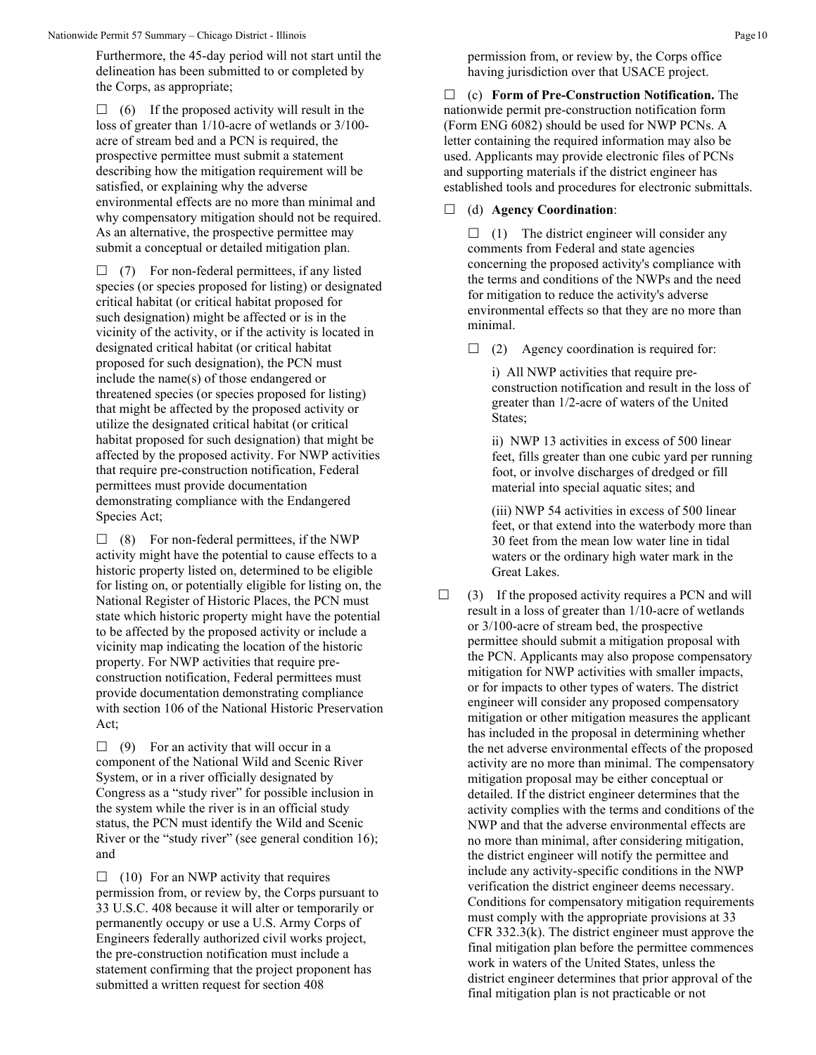Furthermore, the 45-day period will not start until the delineation has been submitted to or completed by the Corps, as appropriate;

 $\Box$  (6) If the proposed activity will result in the loss of greater than 1/10-acre of wetlands or 3/100 acre of stream bed and a PCN is required, the prospective permittee must submit a statement describing how the mitigation requirement will be satisfied, or explaining why the adverse environmental effects are no more than minimal and why compensatory mitigation should not be required. As an alternative, the prospective permittee may submit a conceptual or detailed mitigation plan.

 $\Box$  (7) For non-federal permittees, if any listed species (or species proposed for listing) or designated critical habitat (or critical habitat proposed for such designation) might be affected or is in the vicinity of the activity, or if the activity is located in designated critical habitat (or critical habitat proposed for such designation), the PCN must include the name(s) of those endangered or threatened species (or species proposed for listing) that might be affected by the proposed activity or utilize the designated critical habitat (or critical habitat proposed for such designation) that might be affected by the proposed activity. For NWP activities that require pre-construction notification, Federal permittees must provide documentation demonstrating compliance with the Endangered Species Act;

 $\Box$  (8) For non-federal permittees, if the NWP activity might have the potential to cause effects to a historic property listed on, determined to be eligible for listing on, or potentially eligible for listing on, the National Register of Historic Places, the PCN must state which historic property might have the potential to be affected by the proposed activity or include a vicinity map indicating the location of the historic property. For NWP activities that require preconstruction notification, Federal permittees must provide documentation demonstrating compliance with section 106 of the National Historic Preservation Act;

 $\Box$  (9) For an activity that will occur in a component of the National Wild and Scenic River System, or in a river officially designated by Congress as a "study river" for possible inclusion in the system while the river is in an official study status, the PCN must identify the Wild and Scenic River or the "study river" (see general condition 16); and

 $\Box$  (10) For an NWP activity that requires permission from, or review by, the Corps pursuant to 33 U.S.C. 408 because it will alter or temporarily or permanently occupy or use a U.S. Army Corps of Engineers federally authorized civil works project, the pre-construction notification must include a statement confirming that the project proponent has submitted a written request for section 408

permission from, or review by, the Corps office having jurisdiction over that USACE project.

 (c) **Form of Pre-Construction Notification.** The nationwide permit pre-construction notification form (Form ENG 6082) should be used for NWP PCNs. A letter containing the required information may also be used. Applicants may provide electronic files of PCNs and supporting materials if the district engineer has established tools and procedures for electronic submittals.

(d) **Agency Coordination**:

 $\Box$  (1) The district engineer will consider any comments from Federal and state agencies concerning the proposed activity's compliance with the terms and conditions of the NWPs and the need for mitigation to reduce the activity's adverse environmental effects so that they are no more than minimal.

 $\Box$  (2) Agency coordination is required for:

i) All NWP activities that require preconstruction notification and result in the loss of greater than 1/2-acre of waters of the United States;

ii) NWP 13 activities in excess of 500 linear feet, fills greater than one cubic yard per running foot, or involve discharges of dredged or fill material into special aquatic sites; and

(iii) NWP 54 activities in excess of 500 linear feet, or that extend into the waterbody more than 30 feet from the mean low water line in tidal waters or the ordinary high water mark in the Great Lakes.

 $\Box$  (3) If the proposed activity requires a PCN and will result in a loss of greater than 1/10-acre of wetlands or 3/100-acre of stream bed, the prospective permittee should submit a mitigation proposal with the PCN. Applicants may also propose compensatory mitigation for NWP activities with smaller impacts, or for impacts to other types of waters. The district engineer will consider any proposed compensatory mitigation or other mitigation measures the applicant has included in the proposal in determining whether the net adverse environmental effects of the proposed activity are no more than minimal. The compensatory mitigation proposal may be either conceptual or detailed. If the district engineer determines that the activity complies with the terms and conditions of the NWP and that the adverse environmental effects are no more than minimal, after considering mitigation, the district engineer will notify the permittee and include any activity-specific conditions in the NWP verification the district engineer deems necessary. Conditions for compensatory mitigation requirements must comply with the appropriate provisions at 33 CFR 332.3(k). The district engineer must approve the final mitigation plan before the permittee commences work in waters of the United States, unless the district engineer determines that prior approval of the final mitigation plan is not practicable or not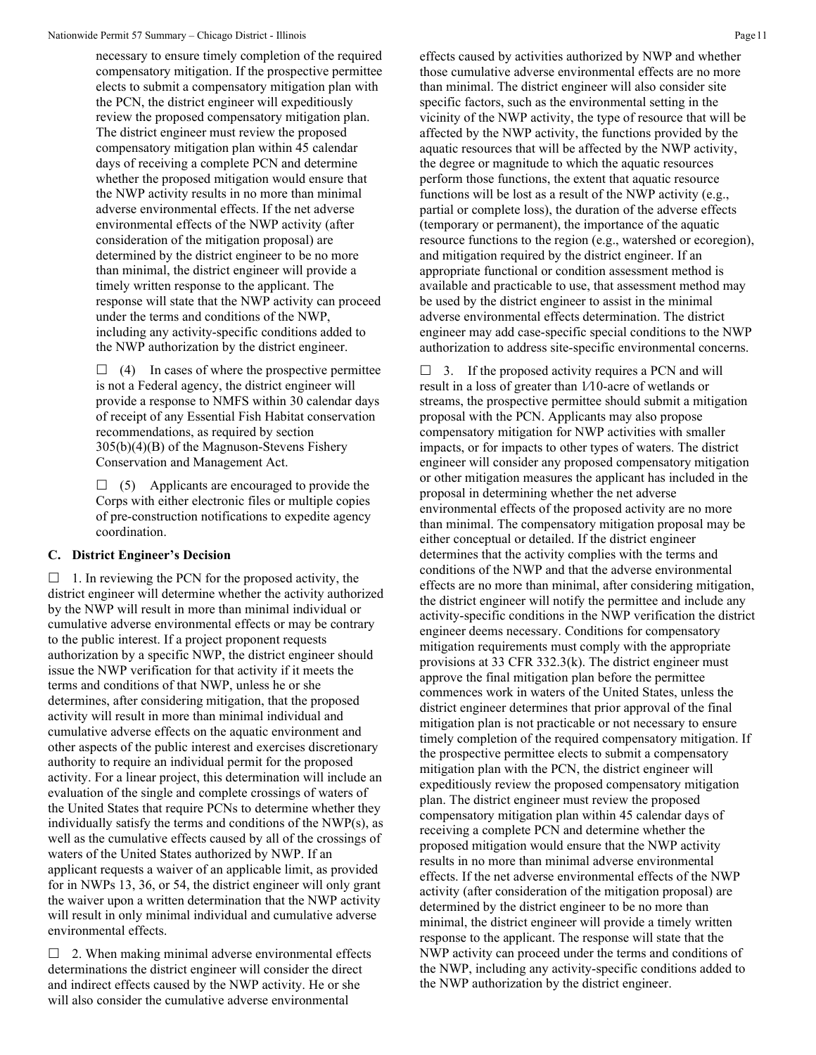necessary to ensure timely completion of the required compensatory mitigation. If the prospective permittee elects to submit a compensatory mitigation plan with the PCN, the district engineer will expeditiously review the proposed compensatory mitigation plan. The district engineer must review the proposed compensatory mitigation plan within 45 calendar days of receiving a complete PCN and determine whether the proposed mitigation would ensure that the NWP activity results in no more than minimal adverse environmental effects. If the net adverse environmental effects of the NWP activity (after consideration of the mitigation proposal) are determined by the district engineer to be no more than minimal, the district engineer will provide a timely written response to the applicant. The response will state that the NWP activity can proceed under the terms and conditions of the NWP, including any activity-specific conditions added to the NWP authorization by the district engineer.

 $\Box$  (4) In cases of where the prospective permittee is not a Federal agency, the district engineer will provide a response to NMFS within 30 calendar days of receipt of any Essential Fish Habitat conservation recommendations, as required by section 305(b)(4)(B) of the Magnuson-Stevens Fishery Conservation and Management Act.

 $\Box$  (5) Applicants are encouraged to provide the Corps with either electronic files or multiple copies of pre-construction notifications to expedite agency coordination.

## **C. District Engineer's Decision**

 $\Box$  1. In reviewing the PCN for the proposed activity, the district engineer will determine whether the activity authorized by the NWP will result in more than minimal individual or cumulative adverse environmental effects or may be contrary to the public interest. If a project proponent requests authorization by a specific NWP, the district engineer should issue the NWP verification for that activity if it meets the terms and conditions of that NWP, unless he or she determines, after considering mitigation, that the proposed activity will result in more than minimal individual and cumulative adverse effects on the aquatic environment and other aspects of the public interest and exercises discretionary authority to require an individual permit for the proposed activity. For a linear project, this determination will include an evaluation of the single and complete crossings of waters of the United States that require PCNs to determine whether they individually satisfy the terms and conditions of the  $NWP(s)$ , as well as the cumulative effects caused by all of the crossings of waters of the United States authorized by NWP. If an applicant requests a waiver of an applicable limit, as provided for in NWPs 13, 36, or 54, the district engineer will only grant the waiver upon a written determination that the NWP activity will result in only minimal individual and cumulative adverse environmental effects.

 $\Box$  2. When making minimal adverse environmental effects determinations the district engineer will consider the direct and indirect effects caused by the NWP activity. He or she will also consider the cumulative adverse environmental

effects caused by activities authorized by NWP and whether those cumulative adverse environmental effects are no more than minimal. The district engineer will also consider site specific factors, such as the environmental setting in the vicinity of the NWP activity, the type of resource that will be affected by the NWP activity, the functions provided by the aquatic resources that will be affected by the NWP activity, the degree or magnitude to which the aquatic resources perform those functions, the extent that aquatic resource functions will be lost as a result of the NWP activity (e.g., partial or complete loss), the duration of the adverse effects (temporary or permanent), the importance of the aquatic resource functions to the region (e.g., watershed or ecoregion), and mitigation required by the district engineer. If an appropriate functional or condition assessment method is available and practicable to use, that assessment method may be used by the district engineer to assist in the minimal adverse environmental effects determination. The district engineer may add case-specific special conditions to the NWP authorization to address site-specific environmental concerns.

 $\Box$  3. If the proposed activity requires a PCN and will result in a loss of greater than 1⁄10-acre of wetlands or streams, the prospective permittee should submit a mitigation proposal with the PCN. Applicants may also propose compensatory mitigation for NWP activities with smaller impacts, or for impacts to other types of waters. The district engineer will consider any proposed compensatory mitigation or other mitigation measures the applicant has included in the proposal in determining whether the net adverse environmental effects of the proposed activity are no more than minimal. The compensatory mitigation proposal may be either conceptual or detailed. If the district engineer determines that the activity complies with the terms and conditions of the NWP and that the adverse environmental effects are no more than minimal, after considering mitigation, the district engineer will notify the permittee and include any activity-specific conditions in the NWP verification the district engineer deems necessary. Conditions for compensatory mitigation requirements must comply with the appropriate provisions at 33 CFR 332.3(k). The district engineer must approve the final mitigation plan before the permittee commences work in waters of the United States, unless the district engineer determines that prior approval of the final mitigation plan is not practicable or not necessary to ensure timely completion of the required compensatory mitigation. If the prospective permittee elects to submit a compensatory mitigation plan with the PCN, the district engineer will expeditiously review the proposed compensatory mitigation plan. The district engineer must review the proposed compensatory mitigation plan within 45 calendar days of receiving a complete PCN and determine whether the proposed mitigation would ensure that the NWP activity results in no more than minimal adverse environmental effects. If the net adverse environmental effects of the NWP activity (after consideration of the mitigation proposal) are determined by the district engineer to be no more than minimal, the district engineer will provide a timely written response to the applicant. The response will state that the NWP activity can proceed under the terms and conditions of the NWP, including any activity-specific conditions added to the NWP authorization by the district engineer.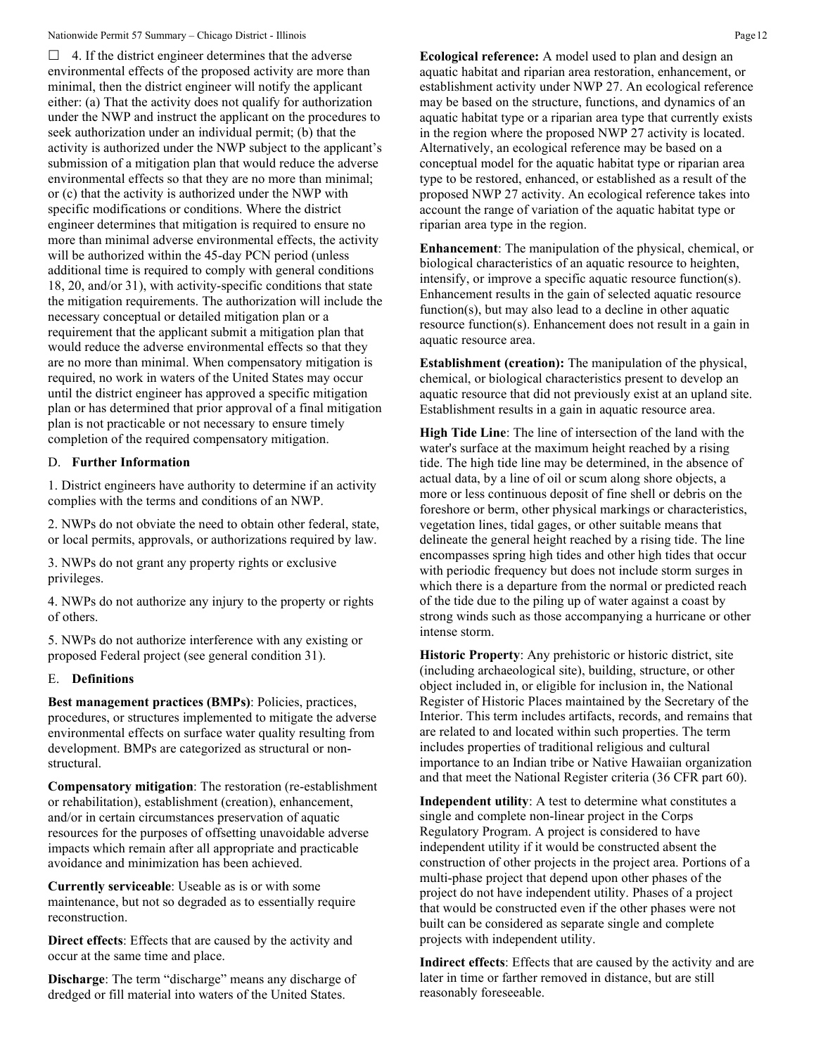$\Box$  4. If the district engineer determines that the adverse environmental effects of the proposed activity are more than minimal, then the district engineer will notify the applicant either: (a) That the activity does not qualify for authorization under the NWP and instruct the applicant on the procedures to seek authorization under an individual permit; (b) that the activity is authorized under the NWP subject to the applicant's submission of a mitigation plan that would reduce the adverse environmental effects so that they are no more than minimal; or (c) that the activity is authorized under the NWP with specific modifications or conditions. Where the district engineer determines that mitigation is required to ensure no more than minimal adverse environmental effects, the activity will be authorized within the 45-day PCN period (unless additional time is required to comply with general conditions 18, 20, and/or 31), with activity-specific conditions that state the mitigation requirements. The authorization will include the necessary conceptual or detailed mitigation plan or a requirement that the applicant submit a mitigation plan that would reduce the adverse environmental effects so that they are no more than minimal. When compensatory mitigation is required, no work in waters of the United States may occur until the district engineer has approved a specific mitigation plan or has determined that prior approval of a final mitigation plan is not practicable or not necessary to ensure timely completion of the required compensatory mitigation.

#### D. **Further Information**

1. District engineers have authority to determine if an activity complies with the terms and conditions of an NWP.

2. NWPs do not obviate the need to obtain other federal, state, or local permits, approvals, or authorizations required by law.

3. NWPs do not grant any property rights or exclusive privileges.

4. NWPs do not authorize any injury to the property or rights of others.

5. NWPs do not authorize interference with any existing or proposed Federal project (see general condition 31).

#### E. **Definitions**

**Best management practices (BMPs)**: Policies, practices, procedures, or structures implemented to mitigate the adverse environmental effects on surface water quality resulting from development. BMPs are categorized as structural or nonstructural.

**Compensatory mitigation**: The restoration (re-establishment or rehabilitation), establishment (creation), enhancement, and/or in certain circumstances preservation of aquatic resources for the purposes of offsetting unavoidable adverse impacts which remain after all appropriate and practicable avoidance and minimization has been achieved.

**Currently serviceable**: Useable as is or with some maintenance, but not so degraded as to essentially require reconstruction.

**Direct effects**: Effects that are caused by the activity and occur at the same time and place.

**Discharge**: The term "discharge" means any discharge of dredged or fill material into waters of the United States.

**Ecological reference:** A model used to plan and design an aquatic habitat and riparian area restoration, enhancement, or establishment activity under NWP 27. An ecological reference may be based on the structure, functions, and dynamics of an aquatic habitat type or a riparian area type that currently exists in the region where the proposed NWP 27 activity is located. Alternatively, an ecological reference may be based on a conceptual model for the aquatic habitat type or riparian area type to be restored, enhanced, or established as a result of the proposed NWP 27 activity. An ecological reference takes into account the range of variation of the aquatic habitat type or riparian area type in the region.

**Enhancement**: The manipulation of the physical, chemical, or biological characteristics of an aquatic resource to heighten, intensify, or improve a specific aquatic resource function(s). Enhancement results in the gain of selected aquatic resource function(s), but may also lead to a decline in other aquatic resource function(s). Enhancement does not result in a gain in aquatic resource area.

**Establishment (creation):** The manipulation of the physical, chemical, or biological characteristics present to develop an aquatic resource that did not previously exist at an upland site. Establishment results in a gain in aquatic resource area.

**High Tide Line**: The line of intersection of the land with the water's surface at the maximum height reached by a rising tide. The high tide line may be determined, in the absence of actual data, by a line of oil or scum along shore objects, a more or less continuous deposit of fine shell or debris on the foreshore or berm, other physical markings or characteristics, vegetation lines, tidal gages, or other suitable means that delineate the general height reached by a rising tide. The line encompasses spring high tides and other high tides that occur with periodic frequency but does not include storm surges in which there is a departure from the normal or predicted reach of the tide due to the piling up of water against a coast by strong winds such as those accompanying a hurricane or other intense storm.

**Historic Property**: Any prehistoric or historic district, site (including archaeological site), building, structure, or other object included in, or eligible for inclusion in, the National Register of Historic Places maintained by the Secretary of the Interior. This term includes artifacts, records, and remains that are related to and located within such properties. The term includes properties of traditional religious and cultural importance to an Indian tribe or Native Hawaiian organization and that meet the National Register criteria (36 CFR part 60).

**Independent utility**: A test to determine what constitutes a single and complete non-linear project in the Corps Regulatory Program. A project is considered to have independent utility if it would be constructed absent the construction of other projects in the project area. Portions of a multi-phase project that depend upon other phases of the project do not have independent utility. Phases of a project that would be constructed even if the other phases were not built can be considered as separate single and complete projects with independent utility.

**Indirect effects**: Effects that are caused by the activity and are later in time or farther removed in distance, but are still reasonably foreseeable.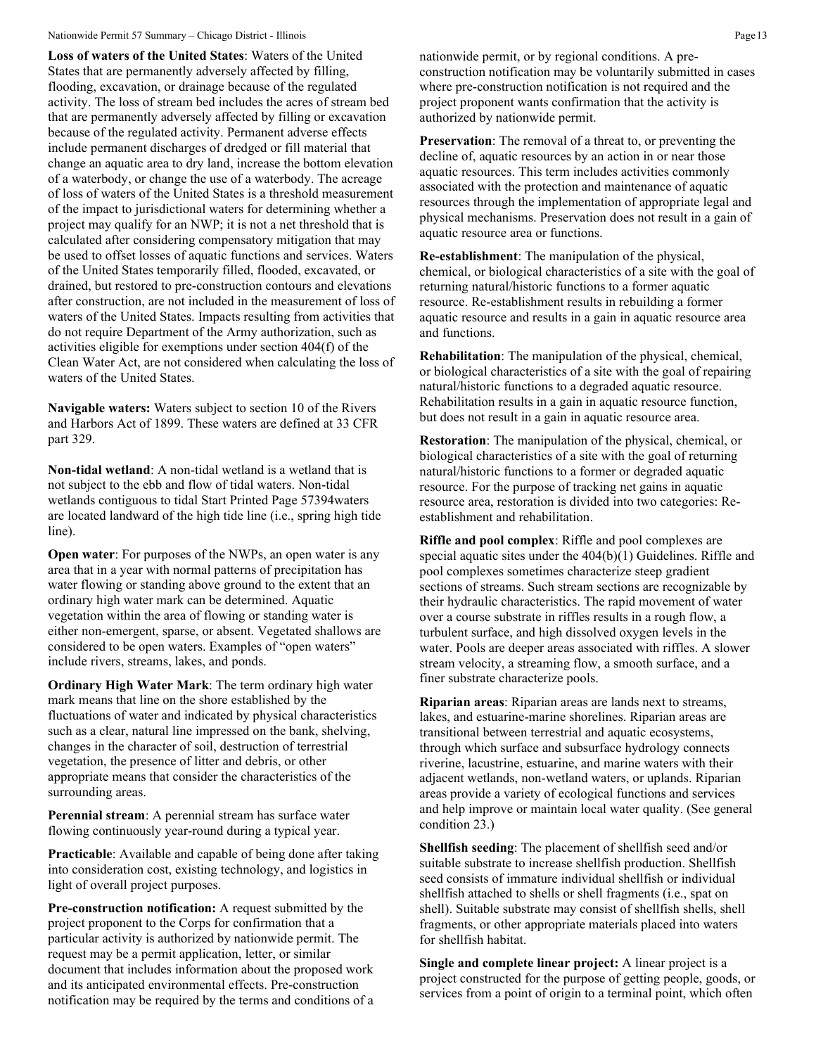**Loss of waters of the United States**: Waters of the United States that are permanently adversely affected by filling, flooding, excavation, or drainage because of the regulated activity. The loss of stream bed includes the acres of stream bed that are permanently adversely affected by filling or excavation because of the regulated activity. Permanent adverse effects include permanent discharges of dredged or fill material that change an aquatic area to dry land, increase the bottom elevation of a waterbody, or change the use of a waterbody. The acreage of loss of waters of the United States is a threshold measurement of the impact to jurisdictional waters for determining whether a project may qualify for an NWP; it is not a net threshold that is calculated after considering compensatory mitigation that may be used to offset losses of aquatic functions and services. Waters of the United States temporarily filled, flooded, excavated, or drained, but restored to pre-construction contours and elevations after construction, are not included in the measurement of loss of waters of the United States. Impacts resulting from activities that do not require Department of the Army authorization, such as activities eligible for exemptions under section 404(f) of the Clean Water Act, are not considered when calculating the loss of waters of the United States.

**Navigable waters:** Waters subject to section 10 of the Rivers and Harbors Act of 1899. These waters are defined at 33 CFR part 329.

**Non-tidal wetland**: A non-tidal wetland is a wetland that is not subject to the ebb and flow of tidal waters. Non-tidal wetlands contiguous to tidal Start Printed Page 57394waters are located landward of the high tide line (i.e., spring high tide line).

**Open water**: For purposes of the NWPs, an open water is any area that in a year with normal patterns of precipitation has water flowing or standing above ground to the extent that an ordinary high water mark can be determined. Aquatic vegetation within the area of flowing or standing water is either non-emergent, sparse, or absent. Vegetated shallows are considered to be open waters. Examples of "open waters" include rivers, streams, lakes, and ponds.

**Ordinary High Water Mark**: The term ordinary high water mark means that line on the shore established by the fluctuations of water and indicated by physical characteristics such as a clear, natural line impressed on the bank, shelving, changes in the character of soil, destruction of terrestrial vegetation, the presence of litter and debris, or other appropriate means that consider the characteristics of the surrounding areas.

**Perennial stream**: A perennial stream has surface water flowing continuously year-round during a typical year.

**Practicable**: Available and capable of being done after taking into consideration cost, existing technology, and logistics in light of overall project purposes.

**Pre-construction notification:** A request submitted by the project proponent to the Corps for confirmation that a particular activity is authorized by nationwide permit. The request may be a permit application, letter, or similar document that includes information about the proposed work and its anticipated environmental effects. Pre-construction notification may be required by the terms and conditions of a nationwide permit, or by regional conditions. A preconstruction notification may be voluntarily submitted in cases where pre-construction notification is not required and the project proponent wants confirmation that the activity is authorized by nationwide permit.

**Preservation**: The removal of a threat to, or preventing the decline of, aquatic resources by an action in or near those aquatic resources. This term includes activities commonly associated with the protection and maintenance of aquatic resources through the implementation of appropriate legal and physical mechanisms. Preservation does not result in a gain of aquatic resource area or functions.

**Re-establishment**: The manipulation of the physical, chemical, or biological characteristics of a site with the goal of returning natural/historic functions to a former aquatic resource. Re-establishment results in rebuilding a former aquatic resource and results in a gain in aquatic resource area and functions.

**Rehabilitation**: The manipulation of the physical, chemical, or biological characteristics of a site with the goal of repairing natural/historic functions to a degraded aquatic resource. Rehabilitation results in a gain in aquatic resource function, but does not result in a gain in aquatic resource area.

**Restoration**: The manipulation of the physical, chemical, or biological characteristics of a site with the goal of returning natural/historic functions to a former or degraded aquatic resource. For the purpose of tracking net gains in aquatic resource area, restoration is divided into two categories: Reestablishment and rehabilitation.

**Riffle and pool complex**: Riffle and pool complexes are special aquatic sites under the 404(b)(1) Guidelines. Riffle and pool complexes sometimes characterize steep gradient sections of streams. Such stream sections are recognizable by their hydraulic characteristics. The rapid movement of water over a course substrate in riffles results in a rough flow, a turbulent surface, and high dissolved oxygen levels in the water. Pools are deeper areas associated with riffles. A slower stream velocity, a streaming flow, a smooth surface, and a finer substrate characterize pools.

**Riparian areas**: Riparian areas are lands next to streams, lakes, and estuarine-marine shorelines. Riparian areas are transitional between terrestrial and aquatic ecosystems, through which surface and subsurface hydrology connects riverine, lacustrine, estuarine, and marine waters with their adjacent wetlands, non-wetland waters, or uplands. Riparian areas provide a variety of ecological functions and services and help improve or maintain local water quality. (See general condition 23.)

**Shellfish seeding**: The placement of shellfish seed and/or suitable substrate to increase shellfish production. Shellfish seed consists of immature individual shellfish or individual shellfish attached to shells or shell fragments (i.e., spat on shell). Suitable substrate may consist of shellfish shells, shell fragments, or other appropriate materials placed into waters for shellfish habitat.

**Single and complete linear project:** A linear project is a project constructed for the purpose of getting people, goods, or services from a point of origin to a terminal point, which often